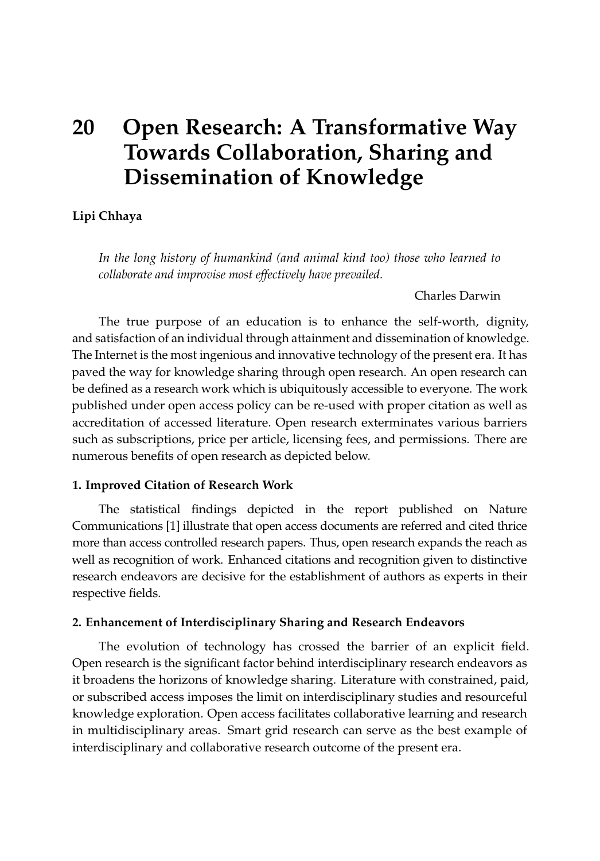# **20 Open Research: A Transformative Way Towards Collaboration, Sharing and Dissemination of Knowledge**

# **Lipi Chhaya**

*In the long history of humankind (and animal kind too) those who learned to collaborate and improvise most effectively have prevailed.*

Charles Darwin

The true purpose of an education is to enhance the self-worth, dignity, and satisfaction of an individual through attainment and dissemination of knowledge. The Internet is the most ingenious and innovative technology of the present era. It has paved the way for knowledge sharing through open research. An open research can be defined as a research work which is ubiquitously accessible to everyone. The work published under open access policy can be re-used with proper citation as well as accreditation of accessed literature. Open research exterminates various barriers such as subscriptions, price per article, licensing fees, and permissions. There are numerous benefits of open research as depicted below.

#### **1. Improved Citation of Research Work**

The statistical findings depicted in the report published on Nature Communications [\[1\]](#page-3-0) illustrate that open access documents are referred and cited thrice more than access controlled research papers. Thus, open research expands the reach as well as recognition of work. Enhanced citations and recognition given to distinctive research endeavors are decisive for the establishment of authors as experts in their respective fields.

#### **2. Enhancement of Interdisciplinary Sharing and Research Endeavors**

The evolution of technology has crossed the barrier of an explicit field. Open research is the significant factor behind interdisciplinary research endeavors as it broadens the horizons of knowledge sharing. Literature with constrained, paid, or subscribed access imposes the limit on interdisciplinary studies and resourceful knowledge exploration. Open access facilitates collaborative learning and research in multidisciplinary areas. Smart grid research can serve as the best example of interdisciplinary and collaborative research outcome of the present era.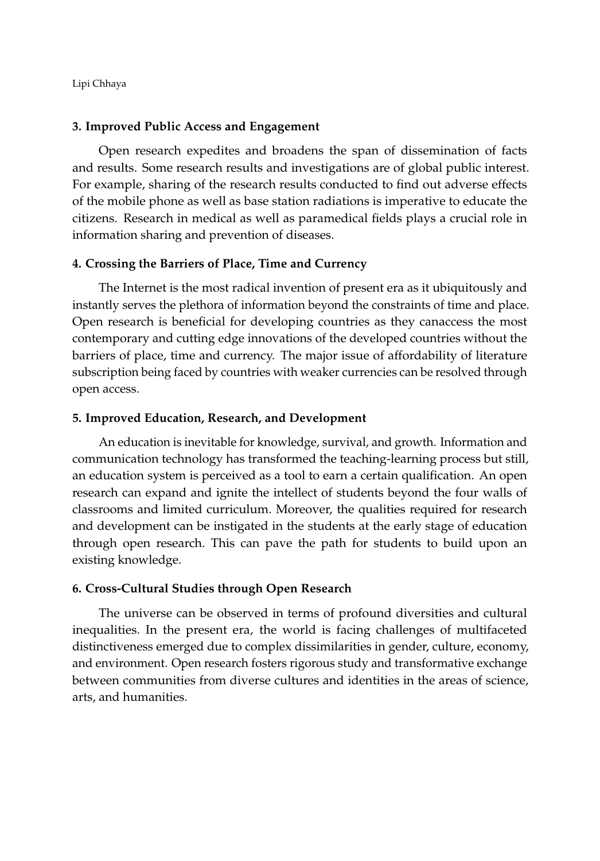Lipi Chhaya

#### **3. Improved Public Access and Engagement**

Open research expedites and broadens the span of dissemination of facts and results. Some research results and investigations are of global public interest. For example, sharing of the research results conducted to find out adverse effects of the mobile phone as well as base station radiations is imperative to educate the citizens. Research in medical as well as paramedical fields plays a crucial role in information sharing and prevention of diseases.

# **4. Crossing the Barriers of Place, Time and Currency**

The Internet is the most radical invention of present era as it ubiquitously and instantly serves the plethora of information beyond the constraints of time and place. Open research is beneficial for developing countries as they canaccess the most contemporary and cutting edge innovations of the developed countries without the barriers of place, time and currency. The major issue of affordability of literature subscription being faced by countries with weaker currencies can be resolved through open access.

#### **5. Improved Education, Research, and Development**

An education is inevitable for knowledge, survival, and growth. Information and communication technology has transformed the teaching-learning process but still, an education system is perceived as a tool to earn a certain qualification. An open research can expand and ignite the intellect of students beyond the four walls of classrooms and limited curriculum. Moreover, the qualities required for research and development can be instigated in the students at the early stage of education through open research. This can pave the path for students to build upon an existing knowledge.

#### **6. Cross-Cultural Studies through Open Research**

The universe can be observed in terms of profound diversities and cultural inequalities. In the present era, the world is facing challenges of multifaceted distinctiveness emerged due to complex dissimilarities in gender, culture, economy, and environment. Open research fosters rigorous study and transformative exchange between communities from diverse cultures and identities in the areas of science, arts, and humanities.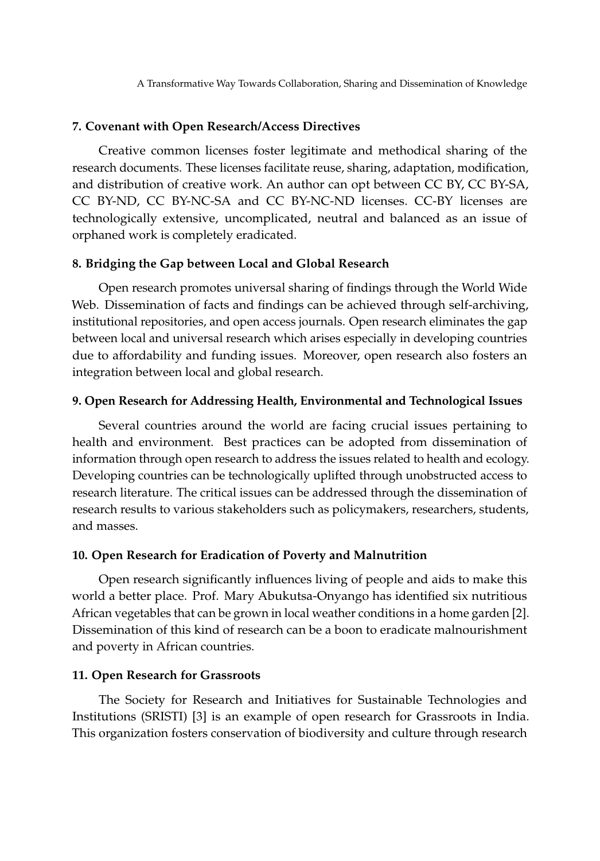A Transformative Way Towards Collaboration, Sharing and Dissemination of Knowledge

#### **7. Covenant with Open Research/Access Directives**

Creative common licenses foster legitimate and methodical sharing of the research documents. These licenses facilitate reuse, sharing, adaptation, modification, and distribution of creative work. An author can opt between CC BY, CC BY-SA, CC BY-ND, CC BY-NC-SA and CC BY-NC-ND licenses. CC-BY licenses are technologically extensive, uncomplicated, neutral and balanced as an issue of orphaned work is completely eradicated.

# **8. Bridging the Gap between Local and Global Research**

Open research promotes universal sharing of findings through the World Wide Web. Dissemination of facts and findings can be achieved through self-archiving, institutional repositories, and open access journals. Open research eliminates the gap between local and universal research which arises especially in developing countries due to affordability and funding issues. Moreover, open research also fosters an integration between local and global research.

#### **9. Open Research for Addressing Health, Environmental and Technological Issues**

Several countries around the world are facing crucial issues pertaining to health and environment. Best practices can be adopted from dissemination of information through open research to address the issues related to health and ecology. Developing countries can be technologically uplifted through unobstructed access to research literature. The critical issues can be addressed through the dissemination of research results to various stakeholders such as policymakers, researchers, students, and masses.

# **10. Open Research for Eradication of Poverty and Malnutrition**

Open research significantly influences living of people and aids to make this world a better place. Prof. Mary Abukutsa-Onyango has identified six nutritious African vegetables that can be grown in local weather conditions in a home garden [\[2\]](#page-3-1). Dissemination of this kind of research can be a boon to eradicate malnourishment and poverty in African countries.

#### **11. Open Research for Grassroots**

The Society for Research and Initiatives for Sustainable Technologies and Institutions (SRISTI) [\[3\]](#page-3-2) is an example of open research for Grassroots in India. This organization fosters conservation of biodiversity and culture through research